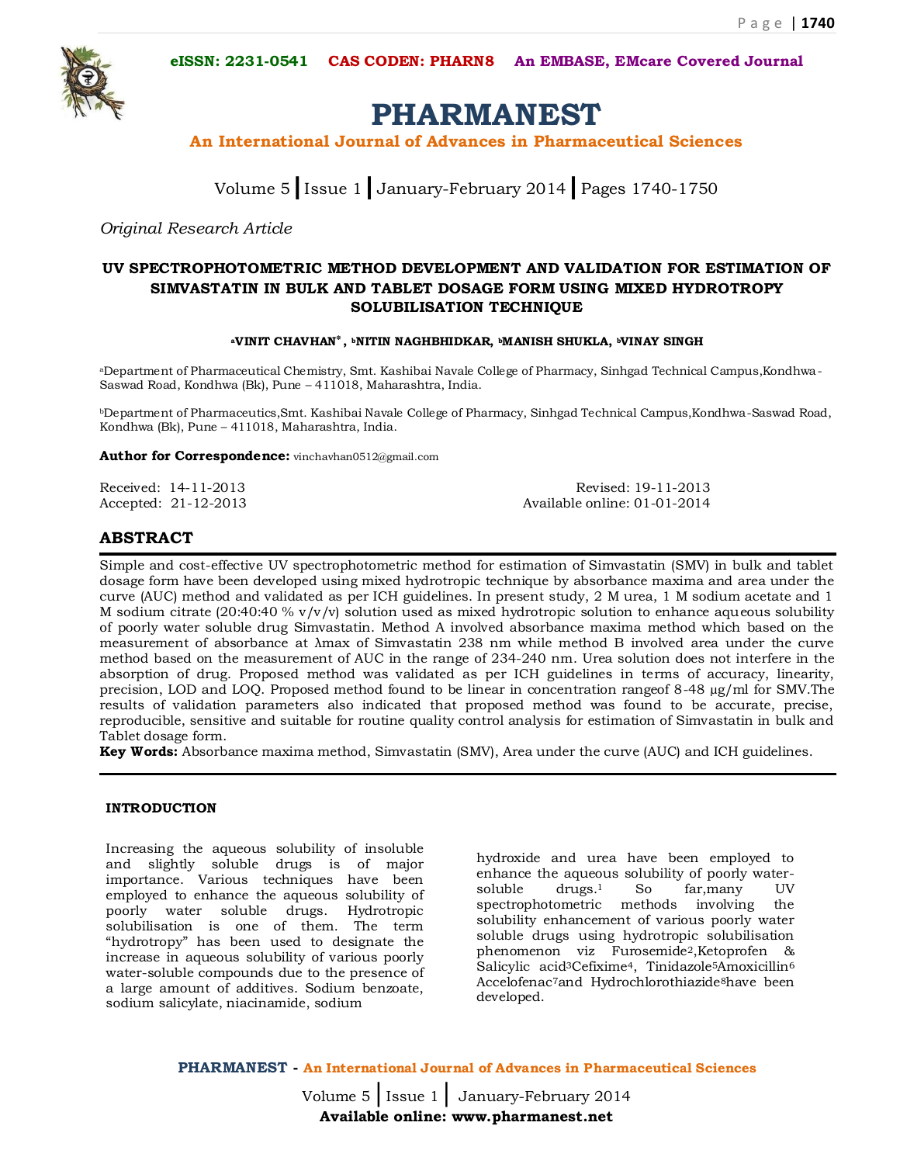**eISSN: 2231-0541 CAS CODEN: PHARN8 An EMBASE, EMcare Covered Journal**



# **PHARMANEST**

**An International Journal of Advances in Pharmaceutical Sciences**

Volume 5**|**Issue 1**|**January-February 2014**|**Pages 1740-1750

*Original Research Article*

# **UV SPECTROPHOTOMETRIC METHOD DEVELOPMENT AND VALIDATION FOR ESTIMATION OF SIMVASTATIN IN BULK AND TABLET DOSAGE FORM USING MIXED HYDROTROPY SOLUBILISATION TECHNIQUE**

#### **<sup>a</sup>VINIT CHAVHAN**٭**, <sup>b</sup>NITIN NAGHBHIDKAR, bMANISH SHUKLA, bVINAY SINGH**

aDepartment of Pharmaceutical Chemistry, Smt. Kashibai Navale College of Pharmacy, Sinhgad Technical Campus,Kondhwa-Saswad Road, Kondhwa (Bk), Pune – 411018, Maharashtra, India.

<sup>b</sup>Department of Pharmaceutics,Smt. Kashibai Navale College of Pharmacy, Sinhgad Technical Campus,Kondhwa-Saswad Road, Kondhwa (Bk), Pune – 411018, Maharashtra, India.

**Author for Correspondence:** vinchavhan0512@gmail.com

Received: 14-11-2013 Revised: 19-11-2013 Accepted: 21-12-2013 Available online: 01-01-2014

# **ABSTRACT**

Simple and cost-effective UV spectrophotometric method for estimation of Simvastatin (SMV) in bulk and tablet dosage form have been developed using mixed hydrotropic technique by absorbance maxima and area under the curve (AUC) method and validated as per ICH guidelines. In present study, 2 M urea, 1 M sodium acetate and 1 M sodium citrate (20:40:40 %  $v/v/v$ ) solution used as mixed hydrotropic solution to enhance aqueous solubility of poorly water soluble drug Simvastatin. Method A involved absorbance maxima method which based on the measurement of absorbance at λmax of Simvastatin 238 nm while method B involved area under the curve method based on the measurement of AUC in the range of 234-240 nm. Urea solution does not interfere in the absorption of drug. Proposed method was validated as per ICH guidelines in terms of accuracy, linearity, precision, LOD and LOQ. Proposed method found to be linear in concentration rangeof 8-48 µg/ml for SMV.The results of validation parameters also indicated that proposed method was found to be accurate, precise, reproducible, sensitive and suitable for routine quality control analysis for estimation of Simvastatin in bulk and Tablet dosage form.

**Key Words:** Absorbance maxima method, Simvastatin (SMV), Area under the curve (AUC) and ICH guidelines.

# **INTRODUCTION**

Increasing the aqueous solubility of insoluble and slightly soluble drugs is of major importance. Various techniques have been employed to enhance the aqueous solubility of poorly water soluble drugs. Hydrotropic solubilisation is one of them. The term "hydrotropy" has been used to designate the increase in aqueous solubility of various poorly water-soluble compounds due to the presence of a large amount of additives. Sodium benzoate, sodium salicylate, niacinamide, sodium

hydroxide and urea have been employed to enhance the aqueous solubility of poorly watersoluble drugs.<sup>1</sup> So far,many UV spectrophotometric methods involving the solubility enhancement of various poorly water soluble drugs using hydrotropic solubilisation phenomenon viz Furosemide2,Ketoprofen & Salicylic acid<sup>3</sup>Cefixime<sup>4</sup>, Tinidazole<sup>5</sup>Amoxicillin<sup>6</sup> Accelofenac<sup>7</sup>and Hydrochlorothiazide<sup>8</sup>have been developed.

**PHARMANEST - An International Journal of Advances in Pharmaceutical Sciences**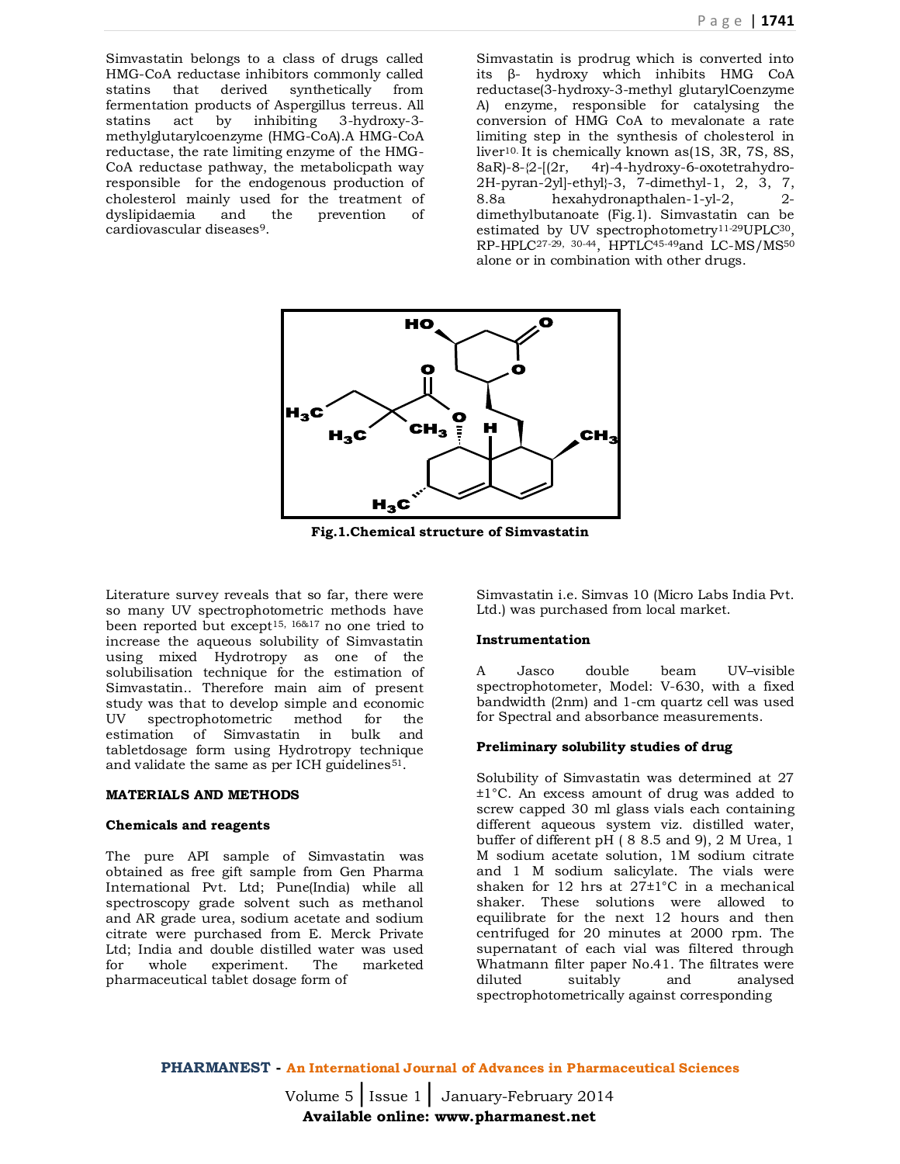Simvastatin belongs to a class of drugs called HMG-CoA reductase inhibitors commonly called statins that derived synthetically from fermentation products of Aspergillus terreus. All statins act by inhibiting 3-hydroxy-3 methylglutarylcoenzyme (HMG-CoA).A HMG-CoA reductase, the rate limiting enzyme of the HMG-CoA reductase pathway, the metabolicpath way responsible for the endogenous production of cholesterol mainly used for the treatment of dyslipidaemia and the prevention of cardiovascular diseases9.

Simvastatin is prodrug which is converted into its β- hydroxy which inhibits HMG CoA reductase(3-hydroxy-3-methyl glutarylCoenzyme A) enzyme, responsible for catalysing the conversion of HMG CoA to mevalonate a rate limiting step in the synthesis of cholesterol in liver10. It is chemically known as(1S, 3R, 7S, 8S,  $8aR$ - $8-$ {2- $(2r, 4r)$ -4-hydroxy-6-oxotetrahydro-2H-pyran-2yl]-ethyl}-3, 7-dimethyl-1, 2, 3, 7, 8.8a hexahydronapthalen-1-yl-2, 2 dimethylbutanoate (Fig.1). Simvastatin can be estimated by UV spectrophotometry11-29UPLC30, RP-HPLC<sup>27-29, 30-44</sup>, HPTLC<sup>45-49</sup>and LC-MS/MS<sup>50</sup> alone or in combination with other drugs.



**Fig.1.Chemical structure of Simvastatin**

Literature survey reveals that so far, there were so many UV spectrophotometric methods have been reported but except15, 16&17 no one tried to increase the aqueous solubility of Simvastatin using mixed Hydrotropy as one of the solubilisation technique for the estimation of Simvastatin.. Therefore main aim of present study was that to develop simple and economic UV spectrophotometric method for the estimation of Simvastatin in bulk and tabletdosage form using Hydrotropy technique and validate the same as per ICH guidelines<sup>51</sup>.

#### **MATERIALS AND METHODS**

#### **Chemicals and reagents**

The pure API sample of Simvastatin was obtained as free gift sample from Gen Pharma International Pvt. Ltd; Pune(India) while all spectroscopy grade solvent such as methanol and AR grade urea, sodium acetate and sodium citrate were purchased from E. Merck Private Ltd; India and double distilled water was used<br>for whole experiment. The marketed for whole experiment. The pharmaceutical tablet dosage form of

Simvastatin i.e. Simvas 10 (Micro Labs India Pvt. Ltd.) was purchased from local market.

#### **Instrumentation**

A Jasco double beam UV–visible spectrophotometer, Model: V-630, with a fixed bandwidth (2nm) and 1-cm quartz cell was used for Spectral and absorbance measurements.

#### **Preliminary solubility studies of drug**

Solubility of Simvastatin was determined at 27 ±1°C. An excess amount of drug was added to screw capped 30 ml glass vials each containing different aqueous system viz. distilled water, buffer of different pH ( 8 8.5 and 9), 2 M Urea, 1 M sodium acetate solution, 1M sodium citrate and 1 M sodium salicylate. The vials were shaken for 12 hrs at 27±1°C in a mechanical shaker. These solutions were allowed to equilibrate for the next 12 hours and then centrifuged for 20 minutes at 2000 rpm. The supernatant of each vial was filtered through Whatmann filter paper No.41. The filtrates were<br>diluted suitably and analysed diluted suitably and analysed spectrophotometrically against corresponding

**PHARMANEST - An International Journal of Advances in Pharmaceutical Sciences**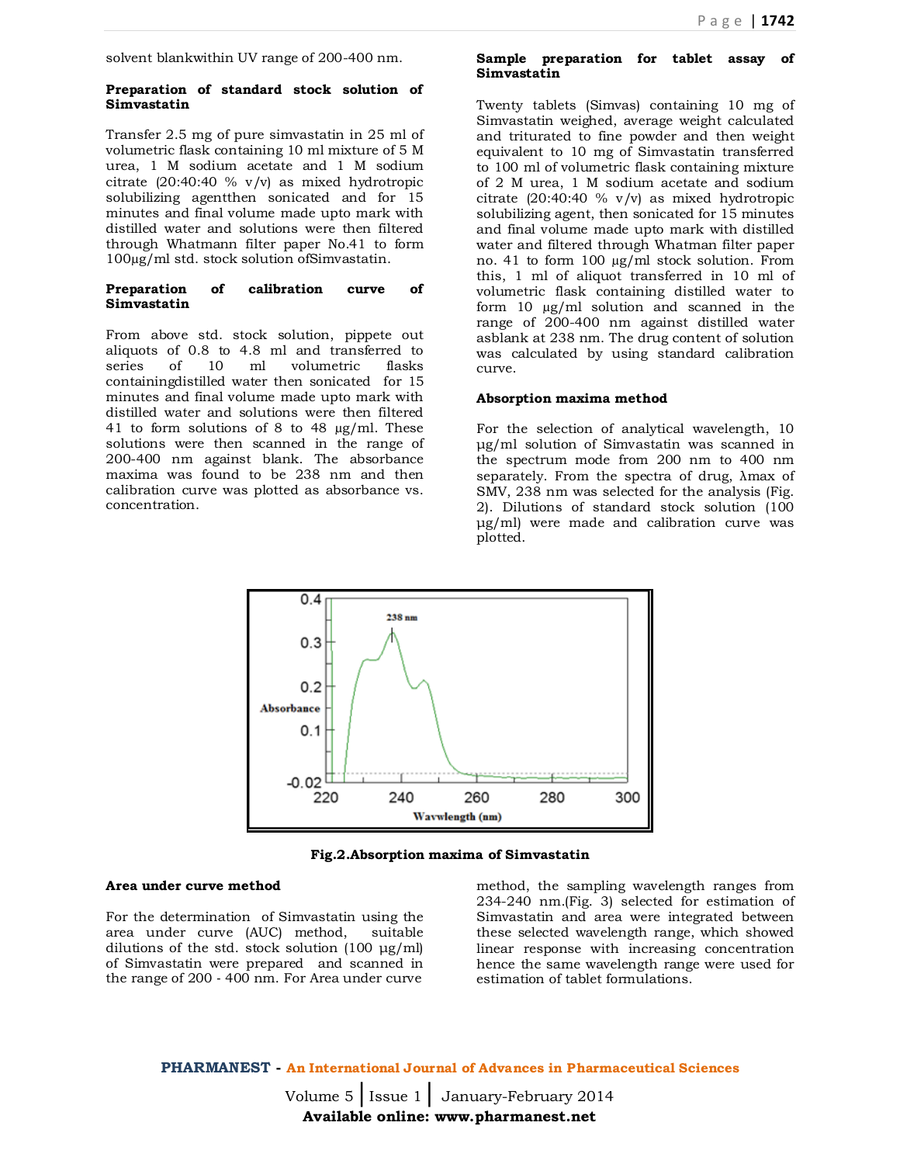solvent blankwithin UV range of 200-400 nm.

#### **Preparation of standard stock solution of Simvastatin**

Transfer 2.5 mg of pure simvastatin in 25 ml of volumetric flask containing 10 ml mixture of 5 M urea, 1 M sodium acetate and 1 M sodium citrate (20:40:40 % v/v) as mixed hydrotropic solubilizing agentthen sonicated and for 15 minutes and final volume made upto mark with distilled water and solutions were then filtered through Whatmann filter paper No.41 to form 100µg/ml std. stock solution ofSimvastatin.

#### **Preparation of calibration curve of Simvastatin**

From above std. stock solution, pippete out aliquots of 0.8 to 4.8 ml and transferred to series of 10 ml volumetric flasks containingdistilled water then sonicated for 15 minutes and final volume made upto mark with distilled water and solutions were then filtered 41 to form solutions of 8 to 48 µg/ml. These solutions were then scanned in the range of 200-400 nm against blank. The absorbance maxima was found to be 238 nm and then calibration curve was plotted as absorbance vs. concentration.

#### **Sample preparation for tablet assay of Simvastatin**

Twenty tablets (Simvas) containing 10 mg of Simvastatin weighed, average weight calculated and triturated to fine powder and then weight equivalent to 10 mg of Simvastatin transferred to 100 ml of volumetric flask containing mixture of 2 M urea, 1 M sodium acetate and sodium citrate  $(20:40:40 \% \text{ v/v})$  as mixed hydrotropic solubilizing agent, then sonicated for 15 minutes and final volume made upto mark with distilled water and filtered through Whatman filter paper no. 41 to form 100 µg/ml stock solution. From this, 1 ml of aliquot transferred in 10 ml of volumetric flask containing distilled water to form 10 µg/ml solution and scanned in the range of 200-400 nm against distilled water asblank at 238 nm. The drug content of solution was calculated by using standard calibration curve.

#### **Absorption maxima method**

For the selection of analytical wavelength, 10 μg/ml solution of Simvastatin was scanned in the spectrum mode from 200 nm to 400 nm separately. From the spectra of drug, λmax of SMV, 238 nm was selected for the analysis (Fig. 2). Dilutions of standard stock solution (100 μg/ml) were made and calibration curve was plotted.



**Fig.2.Absorption maxima of Simvastatin**

#### **Area under curve method**

For the determination of Simvastatin using the area under curve (AUC) method, suitable dilutions of the std. stock solution (100 μg/ml) of Simvastatin were prepared and scanned in the range of 200 ‐ 400 nm. For Area under curve

method, the sampling wavelength ranges from 234-240 nm.(Fig. 3) selected for estimation of Simvastatin and area were integrated between these selected wavelength range, which showed linear response with increasing concentration hence the same wavelength range were used for estimation of tablet formulations.

**PHARMANEST - An International Journal of Advances in Pharmaceutical Sciences**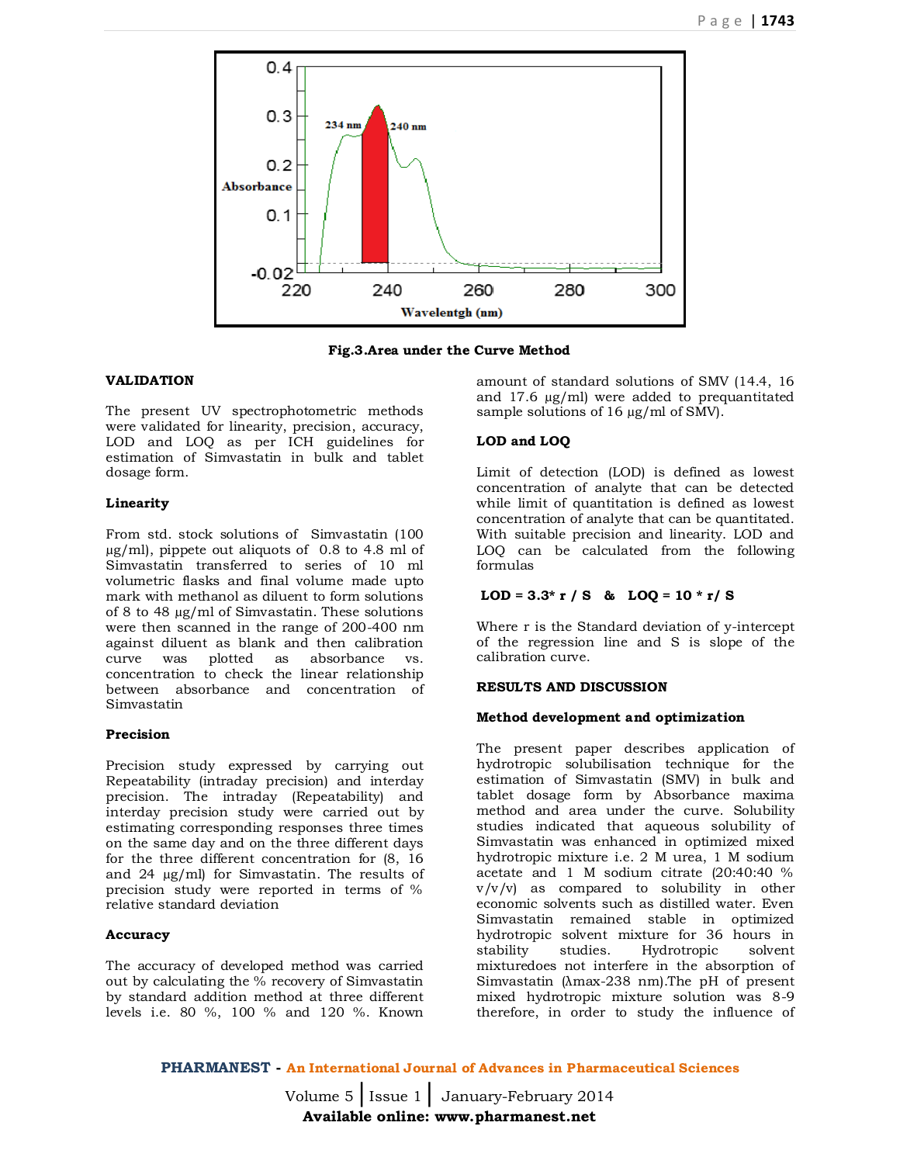

**Fig.3.Area under the Curve Method**

# **VALIDATION**

The present UV spectrophotometric methods were validated for linearity, precision, accuracy, LOD and LOO as per ICH guidelines for estimation of Simvastatin in bulk and tablet dosage form.

# **Linearity**

From std. stock solutions of Simvastatin (100 µg/ml), pippete out aliquots of 0.8 to 4.8 ml of Simvastatin transferred to series of 10 ml volumetric flasks and final volume made upto mark with methanol as diluent to form solutions of 8 to 48 µg/ml of Simvastatin. These solutions were then scanned in the range of 200-400 nm against diluent as blank and then calibration curve was plotted as absorbance vs. concentration to check the linear relationship between absorbance and concentration of Simvastatin

# **Precision**

Precision study expressed by carrying out Repeatability (intraday precision) and interday precision. The intraday (Repeatability) and interday precision study were carried out by estimating corresponding responses three times on the same day and on the three different days for the three different concentration for (8, 16 and 24 µg/ml) for Simvastatin. The results of precision study were reported in terms of % relative standard deviation

# **Accuracy**

The accuracy of developed method was carried out by calculating the % recovery of Simvastatin by standard addition method at three different levels i.e. 80 %, 100 % and 120 %. Known

amount of standard solutions of SMV (14.4, 16 and 17.6 µg/ml) were added to prequantitated sample solutions of 16 µg/ml of SMV.

# **LOD and LOQ**

Limit of detection (LOD) is defined as lowest concentration of analyte that can be detected while limit of quantitation is defined as lowest concentration of analyte that can be quantitated. With suitable precision and linearity. LOD and LOQ can be calculated from the following formulas

# LOD =  $3.3*$  r / S & LOQ =  $10*$  r/ S

Where r is the Standard deviation of y-intercept of the regression line and S is slope of the calibration curve.

# **RESULTS AND DISCUSSION**

#### **Method development and optimization**

The present paper describes application of hydrotropic solubilisation technique for the estimation of Simvastatin (SMV) in bulk and tablet dosage form by Absorbance maxima method and area under the curve. Solubility studies indicated that aqueous solubility of Simvastatin was enhanced in optimized mixed hydrotropic mixture i.e. 2 M urea, 1 M sodium acetate and 1 M sodium citrate (20:40:40 % v/v/v) as compared to solubility in other economic solvents such as distilled water. Even Simvastatin remained stable in optimized hydrotropic solvent mixture for 36 hours in stability studies. Hydrotropic solvent mixturedoes not interfere in the absorption of Simvastatin (λmax-238 nm).The pH of present mixed hydrotropic mixture solution was 8-9 therefore, in order to study the influence of

**PHARMANEST - An International Journal of Advances in Pharmaceutical Sciences**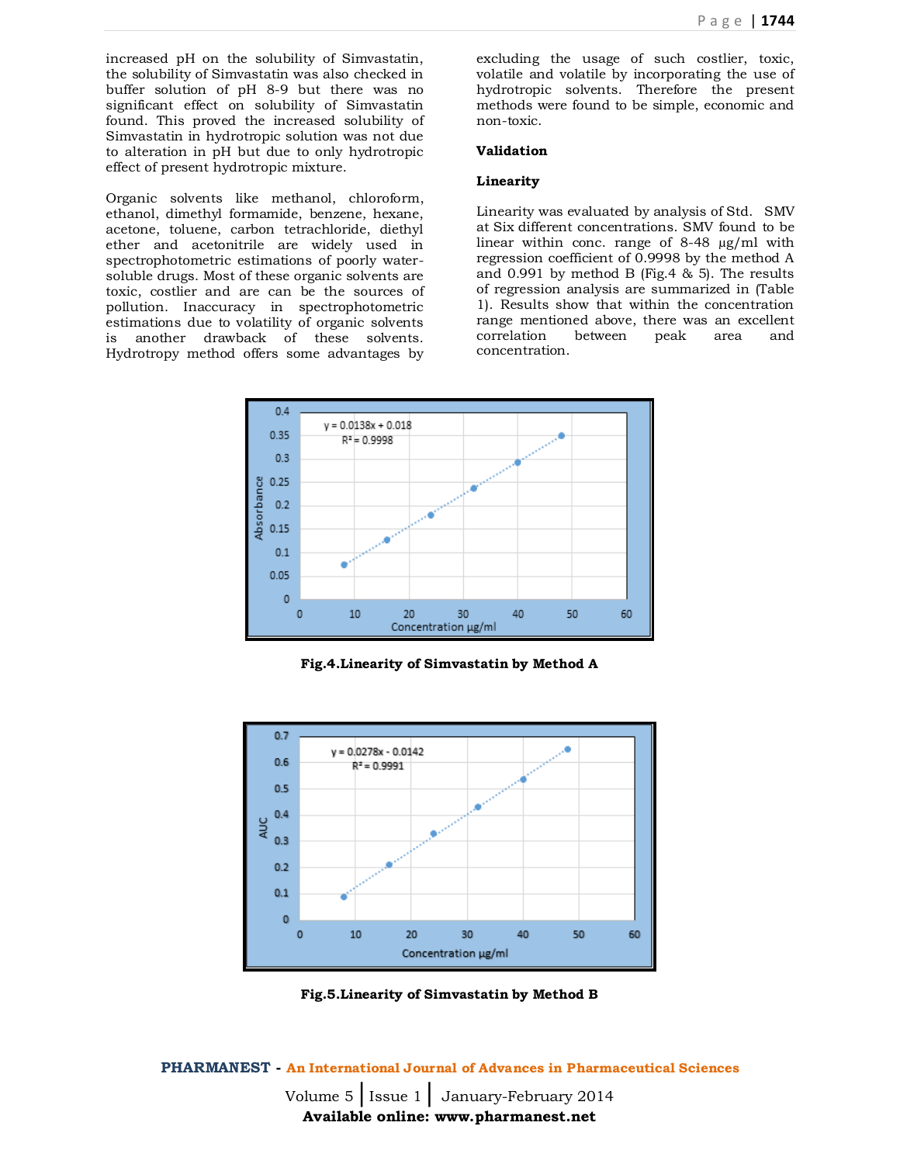increased pH on the solubility of Simvastatin, the solubility of Simvastatin was also checked in buffer solution of pH 8-9 but there was no significant effect on solubility of Simvastatin found. This proved the increased solubility of Simvastatin in hydrotropic solution was not due to alteration in pH but due to only hydrotropic effect of present hydrotropic mixture.

Organic solvents like methanol, chloroform, ethanol, dimethyl formamide, benzene, hexane, acetone, toluene, carbon tetrachloride, diethyl ether and acetonitrile are widely used in spectrophotometric estimations of poorly watersoluble drugs. Most of these organic solvents are toxic, costlier and are can be the sources of pollution. Inaccuracy in spectrophotometric estimations due to volatility of organic solvents is another drawback of these solvents. Hydrotropy method offers some advantages by

excluding the usage of such costlier, toxic, volatile and volatile by incorporating the use of hydrotropic solvents. Therefore the present methods were found to be simple, economic and non-toxic.

# **Validation**

#### **Linearity**

Linearity was evaluated by analysis of Std. SMV at Six different concentrations. SMV found to be linear within conc. range of 8-48 µg/ml with regression coefficient of 0.9998 by the method A and 0.991 by method B (Fig.4 & 5). The results of regression analysis are summarized in (Table 1). Results show that within the concentration range mentioned above, there was an excellent correlation between peak area and concentration.



**Fig.4.Linearity of Simvastatin by Method A**



**Fig.5.Linearity of Simvastatin by Method B**

**PHARMANEST - An International Journal of Advances in Pharmaceutical Sciences**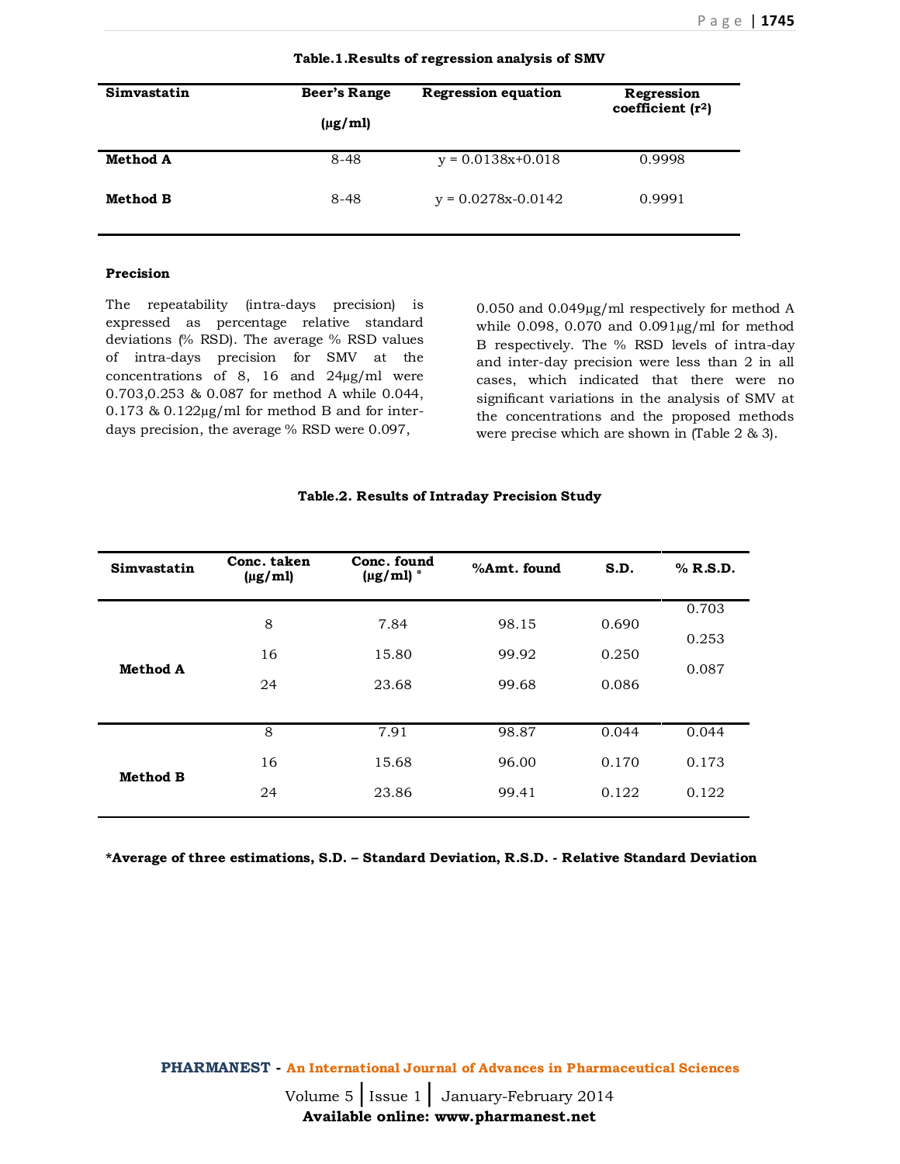| Simvastatin     | Beer's Range<br>$(\mu$ g/ml) | <b>Regression equation</b> | Regression<br>coefficient $(r2)$ |
|-----------------|------------------------------|----------------------------|----------------------------------|
| <b>Method A</b> | $8 - 48$                     | $y = 0.0138x+0.018$        | 0.9998                           |
| Method B        | $8 - 48$                     | $y = 0.0278x - 0.0142$     | 0.9991                           |

#### **Table.1.Results of regression analysis of SMV**

# **Precision**

The repeatability (intra-days precision) is expressed as percentage relative standard deviations (% RSD). The average % RSD values of intra-days precision for SMV at the concentrations of 8, 16 and 24µg/ml were 0.703,0.253 & 0.087 for method A while 0.044, 0.173 & 0.122µg/ml for method B and for interdays precision, the average % RSD were 0.097,

0.050 and 0.049µg/ml respectively for method A while  $0.098$ ,  $0.070$  and  $0.091\mu$ g/ml for method B respectively. The % RSD levels of intra-day and inter-day precision were less than 2 in all cases, which indicated that there were no significant variations in the analysis of SMV at the concentrations and the proposed methods were precise which are shown in (Table 2 & 3).

| Simvastatin     | Conc. taken<br>$(\mu g/ml)$ | Conc. found<br>$(\mu g/ml)^*$ | %Amt. found | S.D.  | $%$ R.S.D.     |
|-----------------|-----------------------------|-------------------------------|-------------|-------|----------------|
|                 | 8                           | 7.84                          | 98.15       | 0.690 | 0.703          |
| <b>Method A</b> | 16                          | 15.80                         | 99.92       | 0.250 | 0.253<br>0.087 |
|                 | 24                          | 23.68                         | 99.68       | 0.086 |                |
|                 |                             |                               |             |       |                |
|                 | 8                           | 7.91                          | 98.87       | 0.044 | 0.044          |
| <b>Method B</b> | 16                          | 15.68                         | 96.00       | 0.170 | 0.173          |
|                 | 24                          | 23.86                         | 99.41       | 0.122 | 0.122          |
|                 |                             |                               |             |       |                |

# **Table.2. Results of Intraday Precision Study**

**\*Average of three estimations, S.D. – Standard Deviation, R.S.D. - Relative Standard Deviation**

**PHARMANEST - An International Journal of Advances in Pharmaceutical Sciences**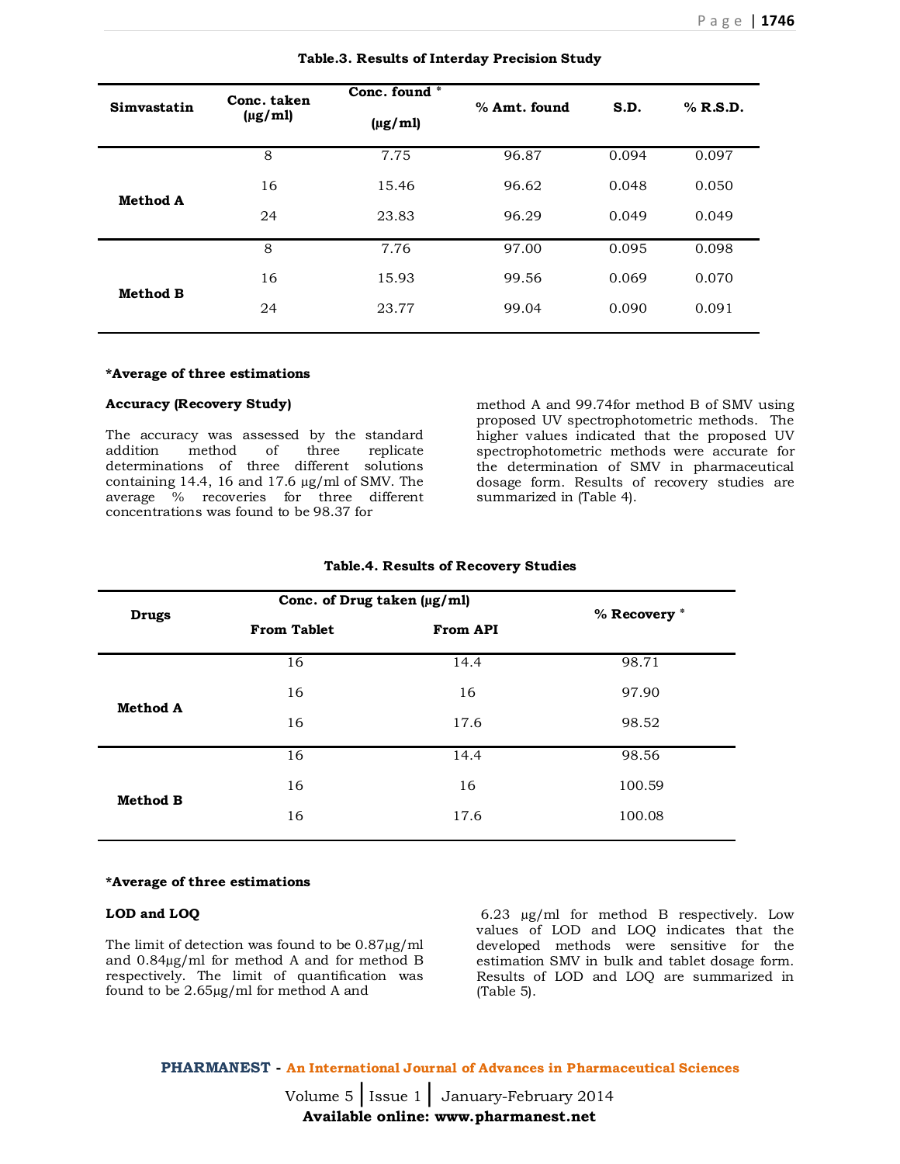| Simvastatin     | Conc. taken<br>$(\mu g/ml)$ | Conc. found *<br>$(\mu g/ml)$ | % Amt. found | S.D.  | $%$ R.S.D. |
|-----------------|-----------------------------|-------------------------------|--------------|-------|------------|
|                 | 8                           | 7.75                          | 96.87        | 0.094 | 0.097      |
| <b>Method A</b> | 16                          | 15.46                         | 96.62        | 0.048 | 0.050      |
|                 | 24                          | 23.83                         | 96.29        | 0.049 | 0.049      |
|                 | 8                           | 7.76                          | 97.00        | 0.095 | 0.098      |
| <b>Method B</b> | 16                          | 15.93                         | 99.56        | 0.069 | 0.070      |
|                 | 24                          | 23.77                         | 99.04        | 0.090 | 0.091      |
|                 |                             |                               |              |       |            |

#### **Table.3. Results of Interday Precision Study**

#### **\*Average of three estimations**

#### **Accuracy (Recovery Study)**

The accuracy was assessed by the standard addition method of three replicate determinations of three different solutions containing 14.4, 16 and 17.6 µg/ml of SMV. The average % recoveries for three different concentrations was found to be 98.37 for

method A and 99.74for method B of SMV using proposed UV spectrophotometric methods. The higher values indicated that the proposed UV spectrophotometric methods were accurate for the determination of SMV in pharmaceutical dosage form. Results of recovery studies are summarized in (Table 4).

|                 |                    | Conc. of Drug taken (µg/ml) |              |  |
|-----------------|--------------------|-----------------------------|--------------|--|
| <b>Drugs</b>    | <b>From Tablet</b> | <b>From API</b>             | % Recovery * |  |
|                 | 16                 | 14.4                        | 98.71        |  |
| <b>Method A</b> | 16                 | 16                          | 97.90        |  |
|                 | 16                 | 17.6                        | 98.52        |  |
|                 | 16                 | 14.4                        | 98.56        |  |
| <b>Method B</b> | 16                 | 16                          | 100.59       |  |
|                 | 16                 | 17.6                        | 100.08       |  |
|                 |                    |                             |              |  |

#### **Table.4. Results of Recovery Studies**

#### **\*Average of three estimations**

# **LOD and LOQ**

The limit of detection was found to be 0.87µg/ml and 0.84µg/ml for method A and for method B respectively. The limit of quantification was found to be 2.65µg/ml for method A and

6.23 µg/ml for method B respectively. Low values of LOD and LOQ indicates that the developed methods were sensitive for the estimation SMV in bulk and tablet dosage form. Results of LOD and LOQ are summarized in (Table 5).

**PHARMANEST - An International Journal of Advances in Pharmaceutical Sciences**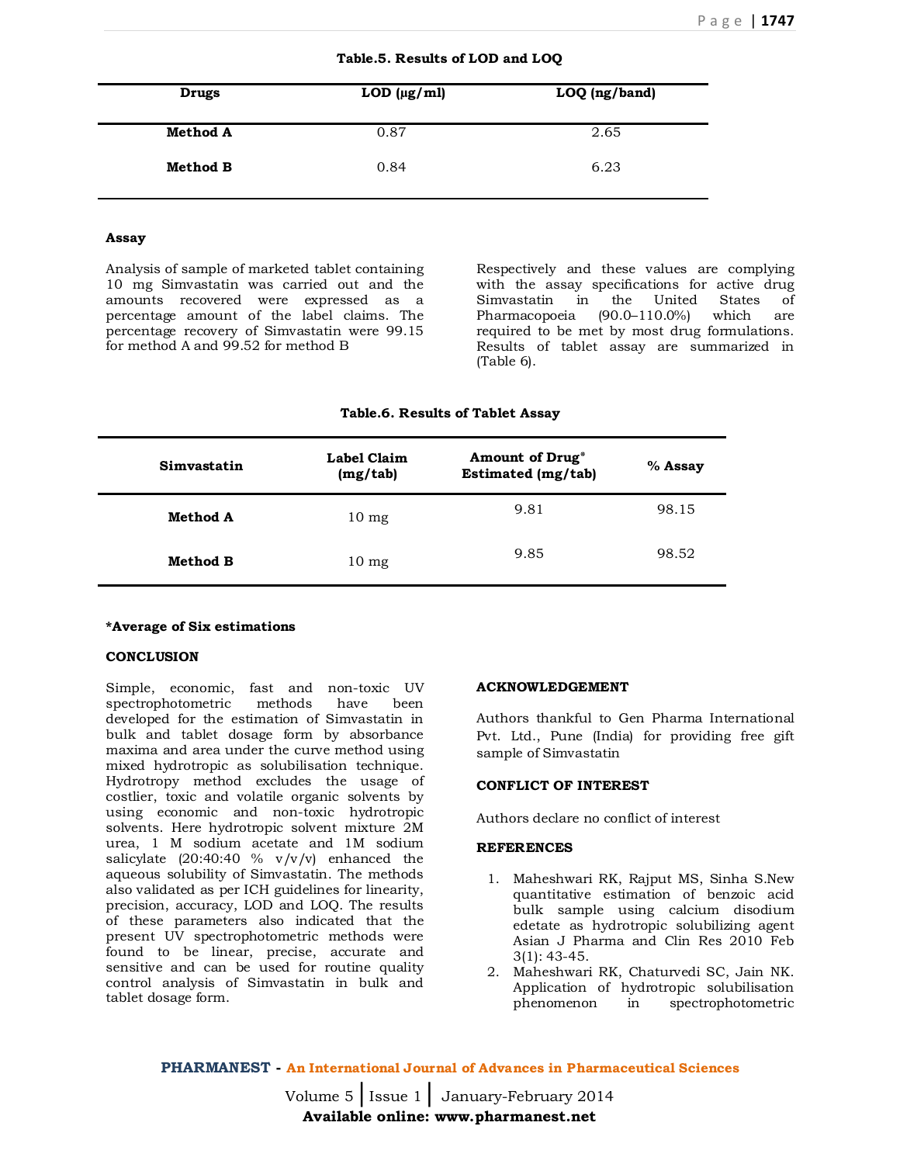|  | Table.5. Results of LOD and LOQ |  |  |  |
|--|---------------------------------|--|--|--|
|--|---------------------------------|--|--|--|

| Drugs           | LOD $(\mu g/ml)$ | LOQ (ng/band) |
|-----------------|------------------|---------------|
| <b>Method A</b> | 0.87             | 2.65          |
| Method B        | 0.84             | 6.23          |

# **Assay**

Analysis of sample of marketed tablet containing 10 mg Simvastatin was carried out and the amounts recovered were expressed as a percentage amount of the label claims. The percentage recovery of Simvastatin were 99.15 for method A and 99.52 for method B

Respectively and these values are complying with the assay specifications for active drug Simvastatin in the United States of Pharmacopoeia (90.0–110.0%) which are required to be met by most drug formulations. Results of tablet assay are summarized in (Table 6).

# **Table.6. Results of Tablet Assay**

| Simvastatin     | Label Claim<br>(mg/tab) | <b>Amount of Drug*</b><br><b>Estimated (mg/tab)</b> | % Assay |
|-----------------|-------------------------|-----------------------------------------------------|---------|
| <b>Method A</b> | $10 \text{ mg}$         | 9.81                                                | 98.15   |
| Method B        | $10 \text{ mg}$         | 9.85                                                | 98.52   |

#### **\*Average of Six estimations**

#### **CONCLUSION**

Simple, economic, fast and non-toxic UV spectrophotometric methods have been developed for the estimation of Simvastatin in bulk and tablet dosage form by absorbance maxima and area under the curve method using mixed hydrotropic as solubilisation technique. Hydrotropy method excludes the usage of costlier, toxic and volatile organic solvents by using economic and non-toxic hydrotropic solvents. Here hydrotropic solvent mixture 2M urea, 1 M sodium acetate and 1M sodium salicylate  $(20:40:40 \% v/v/v)$  enhanced the aqueous solubility of Simvastatin. The methods also validated as per ICH guidelines for linearity, precision, accuracy, LOD and LOQ. The results of these parameters also indicated that the present UV spectrophotometric methods were found to be linear, precise, accurate and sensitive and can be used for routine quality control analysis of Simvastatin in bulk and tablet dosage form.

#### **ACKNOWLEDGEMENT**

Authors thankful to Gen Pharma International Pvt. Ltd., Pune (India) for providing free gift sample of Simvastatin

# **CONFLICT OF INTEREST**

Authors declare no conflict of interest

# **REFERENCES**

- 1. Maheshwari RK, Rajput MS, Sinha S.New quantitative estimation of benzoic acid bulk sample using calcium disodium edetate as hydrotropic solubilizing agent Asian J Pharma and Clin Res 2010 Feb 3(1): 43-45.
- 2. Maheshwari RK, Chaturvedi SC, Jain NK. Application of hydrotropic solubilisation phenomenon in spectrophotometric

**PHARMANEST - An International Journal of Advances in Pharmaceutical Sciences**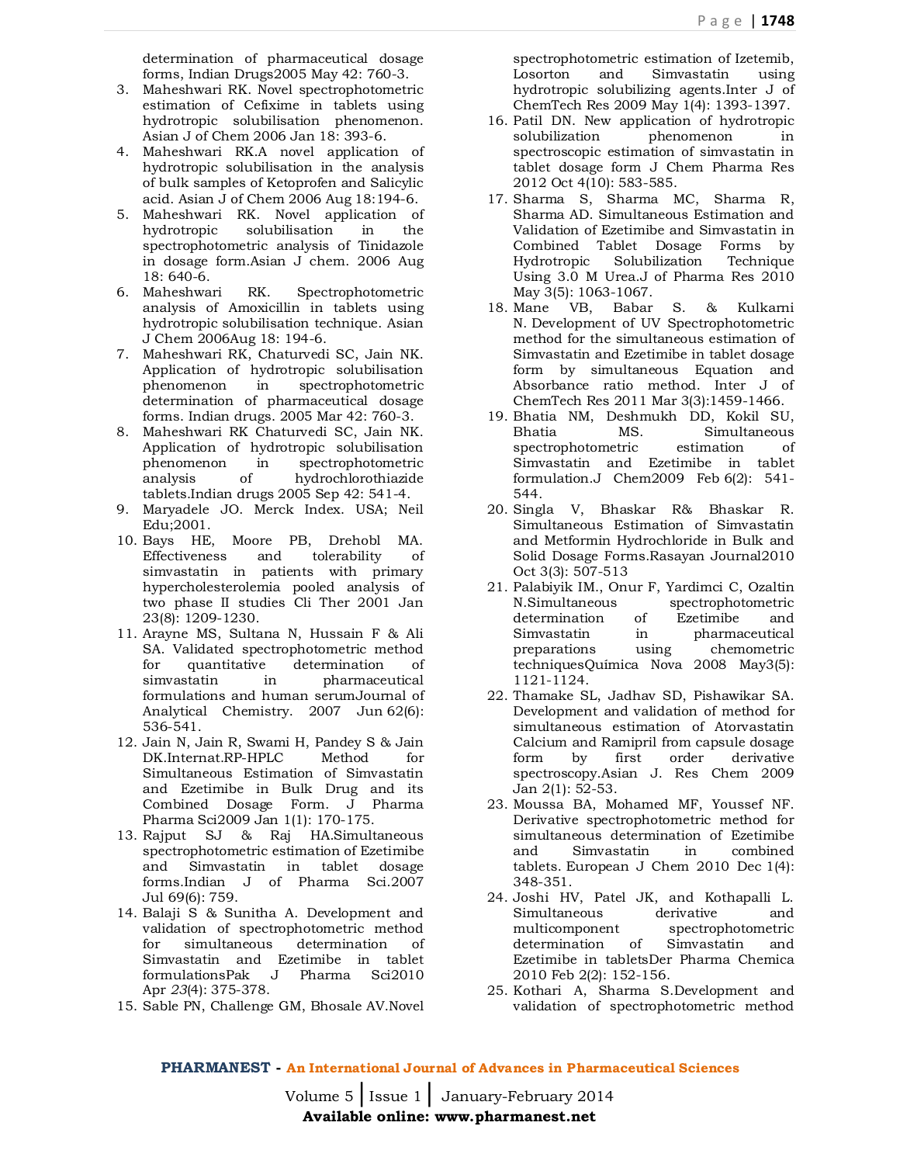determination of pharmaceutical dosage forms, Indian Drugs2005 May 42: 760-3.

- 3. Maheshwari RK. Novel spectrophotometric estimation of Cefixime in tablets using hydrotropic solubilisation phenomenon. Asian J of Chem 2006 Jan 18: 393-6.
- 4. Maheshwari RK.A novel application of hydrotropic solubilisation in the analysis of bulk samples of Ketoprofen and Salicylic acid. Asian J of Chem 2006 Aug 18:194-6.
- 5. Maheshwari RK. Novel application of hydrotropic solubilisation in the spectrophotometric analysis of Tinidazole in dosage form.Asian J chem. 2006 Aug 18: 640-6.
- 6. Maheshwari RK. Spectrophotometric analysis of Amoxicillin in tablets using hydrotropic solubilisation technique. Asian J Chem 2006Aug 18: 194-6.
- 7. Maheshwari RK, Chaturvedi SC, Jain NK. Application of hydrotropic solubilisation phenomenon in spectrophotometric determination of pharmaceutical dosage forms. Indian drugs. 2005 Mar 42: 760-3.
- 8. Maheshwari RK Chaturvedi SC, Jain NK. Application of hydrotropic solubilisation phenomenon in spectrophotometric analysis of hydrochlorothiazide tablets.Indian drugs 2005 Sep 42: 541-4.
- 9. Maryadele JO. Merck Index. USA; Neil Edu;2001.
- 10. Bays HE, Moore PB, Drehobl MA. Effectiveness and tolerability of simvastatin in patients with primary hypercholesterolemia pooled analysis of two phase II studies Cli Ther 2001 Jan 23(8): 1209-1230.
- 11. Arayne MS, Sultana N, Hussain F & Ali SA. Validated spectrophotometric method for quantitative determination of simvastatin in pharmaceutical formulations and human serumJournal of Analytical Chemistry. 2007 Jun 62(6): 536-541.
- 12. Jain N, Jain R, Swami H, Pandey S & Jain DK.Internat.RP-HPLC Method for Simultaneous Estimation of Simvastatin and Ezetimibe in Bulk Drug and its Combined Dosage Form. J Pharma Pharma Sci2009 Jan 1(1): 170-175.
- 13. Rajput SJ & Raj HA.Simultaneous spectrophotometric estimation of Ezetimibe and Simvastatin in tablet dosage forms.Indian J of Pharma Sci.2007 Jul 69(6): 759.
- 14. Balaji S & Sunitha A. Development and validation of spectrophotometric method for simultaneous determination of Simvastatin and Ezetimibe in tablet formulationsPak J Pharma Sci2010 Apr *23*(4): 375-378.
- 15. Sable PN, Challenge GM, Bhosale AV.Novel

spectrophotometric estimation of Izetemib, Losorton and Simvastatin using hydrotropic solubilizing agents.Inter J of ChemTech Res 2009 May 1(4): 1393-1397.

- 16. Patil DN. New application of hydrotropic solubilization phenomenon in spectroscopic estimation of simvastatin in tablet dosage form J Chem Pharma Res 2012 Oct 4(10): 583-585.
- 17. Sharma S, Sharma MC, Sharma R, Sharma AD. Simultaneous Estimation and Validation of Ezetimibe and Simvastatin in Combined Tablet Dosage Forms by Hydrotropic Solubilization Technique Using 3.0 M Urea.J of Pharma Res 2010 May 3(5): 1063-1067.
- 18. Mane VB, Babar S. & Kulkarni N. Development of UV Spectrophotometric method for the simultaneous estimation of Simvastatin and Ezetimibe in tablet dosage form by simultaneous Equation and Absorbance ratio method. Inter J of ChemTech Res 2011 Mar 3(3):1459-1466.
- 19. Bhatia NM, Deshmukh DD, Kokil SU, Bhatia MS. Simultaneous spectrophotometric estimation of Simvastatin and Ezetimibe in tablet formulation.J Chem2009 Feb 6(2): 541- 544.
- 20. Singla V, Bhaskar R& Bhaskar R. Simultaneous Estimation of Simvastatin and Metformin Hydrochloride in Bulk and Solid Dosage Forms.Rasayan Journal2010 Oct 3(3): 507-513
- 21. Palabiyik IM., Onur F, Yardimci C, Ozaltin N.Simultaneous spectrophotometric determination of Ezetimibe and Simvastatin in pharmaceutical preparations using chemometric techniquesQuímica Nova 2008 May3(5): 1121-1124.
- 22. Thamake SL, Jadhav SD, Pishawikar SA. Development and validation of method for simultaneous estimation of Atorvastatin Calcium and Ramipril from capsule dosage form by first order derivative spectroscopy.Asian J. Res Chem 2009 Jan 2(1): 52-53.
- 23. Moussa BA, Mohamed MF, Youssef NF. Derivative spectrophotometric method for simultaneous determination of Ezetimibe and Simvastatin in combined tablets. European J Chem 2010 Dec 1(4): 348-351.
- 24. Joshi HV, Patel JK, and Kothapalli L. Simultaneous derivative and multicomponent spectrophotometric determination of Simvastatin and Ezetimibe in tabletsDer Pharma Chemica 2010 Feb 2(2): 152-156.
- 25. Kothari A, Sharma S.Development and validation of spectrophotometric method

# **PHARMANEST - An International Journal of Advances in Pharmaceutical Sciences**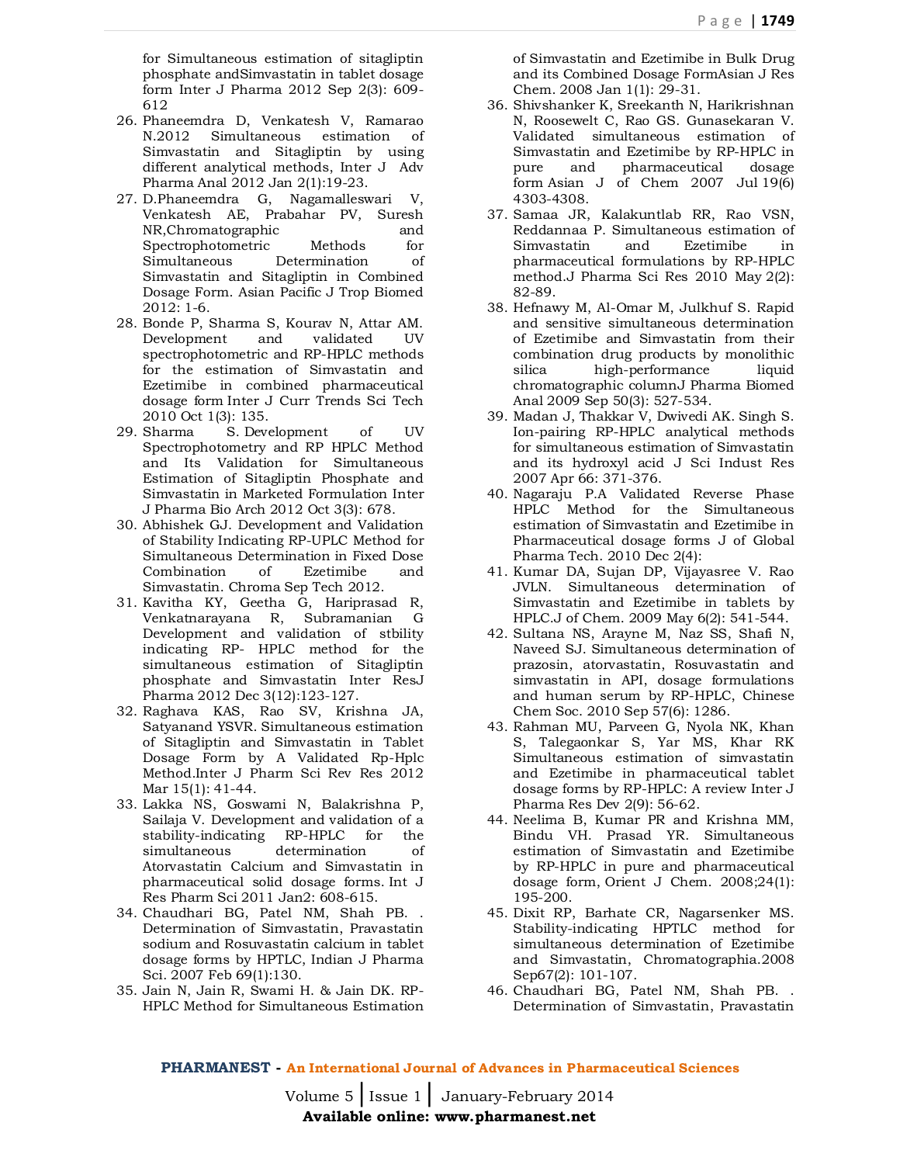for Simultaneous estimation of sitagliptin phosphate andSimvastatin in tablet dosage form Inter J Pharma 2012 Sep 2(3): 609- 612

- 26. Phaneemdra D, Venkatesh V, Ramarao N.2012 Simultaneous estimation of Simvastatin and Sitagliptin by using different analytical methods, Inter J Adv Pharma Anal 2012 Jan 2(1):19-23.
- 27. D.Phaneemdra G, Nagamalleswari V, Venkatesh AE, Prabahar PV, Suresh NR,Chromatographic and Spectrophotometric Methods for Simultaneous Determination of Simvastatin and Sitagliptin in Combined Dosage Form. Asian Pacific J Trop Biomed  $2012:1-6.$
- 28. Bonde P, Sharma S, Kourav N, Attar AM. Development and validated UV spectrophotometric and RP-HPLC methods for the estimation of Simvastatin and Ezetimibe in combined pharmaceutical dosage form Inter J Curr Trends Sci Tech 2010 Oct 1(3): 135.
- 29. Sharma S. Development of UV Spectrophotometry and RP HPLC Method and Its Validation for Simultaneous Estimation of Sitagliptin Phosphate and Simvastatin in Marketed Formulation Inter J Pharma Bio Arch 2012 Oct 3(3): 678.
- 30. Abhishek GJ. Development and Validation of Stability Indicating RP-UPLC Method for Simultaneous Determination in Fixed Dose Combination of Ezetimibe and Simvastatin. Chroma Sep Tech 2012.
- 31. Kavitha KY, Geetha G, Hariprasad R, Venkatnarayana R, Subramanian G Development and validation of stbility indicating RP- HPLC method for the simultaneous estimation of Sitagliptin phosphate and Simvastatin Inter ResJ Pharma 2012 Dec 3(12):123-127.
- 32. Raghava KAS, Rao SV, Krishna JA, Satyanand YSVR. Simultaneous estimation of Sitagliptin and Simvastatin in Tablet Dosage Form by A Validated Rp-Hplc Method.Inter J Pharm Sci Rev Res 2012 Mar 15(1): 41-44.
- 33. Lakka NS, Goswami N, Balakrishna P, Sailaja V. Development and validation of a stability-indicating RP-HPLC for the simultaneous determination of Atorvastatin Calcium and Simvastatin in pharmaceutical solid dosage forms. Int J Res Pharm Sci 2011 Jan2: 608-615.
- 34. Chaudhari BG, Patel NM, Shah PB. . Determination of Simvastatin, Pravastatin sodium and Rosuvastatin calcium in tablet dosage forms by HPTLC, Indian J Pharma Sci. 2007 Feb 69(1):130.
- 35. Jain N, Jain R, Swami H. & Jain DK. RP-HPLC Method for Simultaneous Estimation

of Simvastatin and Ezetimibe in Bulk Drug and its Combined Dosage FormAsian J Res Chem. 2008 Jan 1(1): 29-31.

- 36. Shivshanker K, Sreekanth N, Harikrishnan N, Roosewelt C, Rao GS. Gunasekaran V. Validated simultaneous estimation of Simvastatin and Ezetimibe by RP-HPLC in pure and pharmaceutical dosage form Asian J of Chem 2007 Jul 19(6) 4303-4308.
- 37. Samaa JR, Kalakuntlab RR, Rao VSN, Reddannaa P. Simultaneous estimation of Simvastatin and Ezetimibe in pharmaceutical formulations by RP-HPLC method.J Pharma Sci Res 2010 May 2(2): 82-89.
- 38. Hefnawy M, Al-Omar M, Julkhuf S. Rapid and sensitive simultaneous determination of Ezetimibe and Simvastatin from their combination drug products by monolithic silica high-performance liquid chromatographic columnJ Pharma Biomed Anal 2009 Sep 50(3): 527-534.
- 39. Madan J, Thakkar V, Dwivedi AK. Singh S. Ion-pairing RP-HPLC analytical methods for simultaneous estimation of Simvastatin and its hydroxyl acid J Sci Indust Res 2007 Apr 66: 371-376.
- 40. Nagaraju P.A Validated Reverse Phase HPLC Method for the Simultaneous estimation of Simvastatin and Ezetimibe in Pharmaceutical dosage forms J of Global Pharma Tech. 2010 Dec 2(4):
- 41. Kumar DA, Sujan DP, Vijayasree V. Rao JVLN. Simultaneous determination of Simvastatin and Ezetimibe in tablets by HPLC.J of Chem. 2009 May 6(2): 541-544.
- 42. Sultana NS, Arayne M, Naz SS, Shafi N, Naveed SJ. Simultaneous determination of prazosin, atorvastatin, Rosuvastatin and simvastatin in API, dosage formulations and human serum by RP-HPLC, Chinese Chem Soc. 2010 Sep 57(6): 1286.
- 43. Rahman MU, Parveen G, Nyola NK, Khan S, Talegaonkar S, Yar MS, Khar RK Simultaneous estimation of simvastatin and Ezetimibe in pharmaceutical tablet dosage forms by RP-HPLC: A review Inter J Pharma Res Dev 2(9): 56-62.
- 44. Neelima B, Kumar PR and Krishna MM, Bindu VH. Prasad YR. Simultaneous estimation of Simvastatin and Ezetimibe by RP-HPLC in pure and pharmaceutical dosage form, Orient J Chem. 2008;24(1): 195-200.
- 45. Dixit RP, Barhate CR, Nagarsenker MS. Stability-indicating HPTLC method for simultaneous determination of Ezetimibe and Simvastatin, Chromatographia.2008 Sep67(2): 101-107.
- 46. Chaudhari BG, Patel NM, Shah PB. . Determination of Simvastatin, Pravastatin

# **PHARMANEST - An International Journal of Advances in Pharmaceutical Sciences**